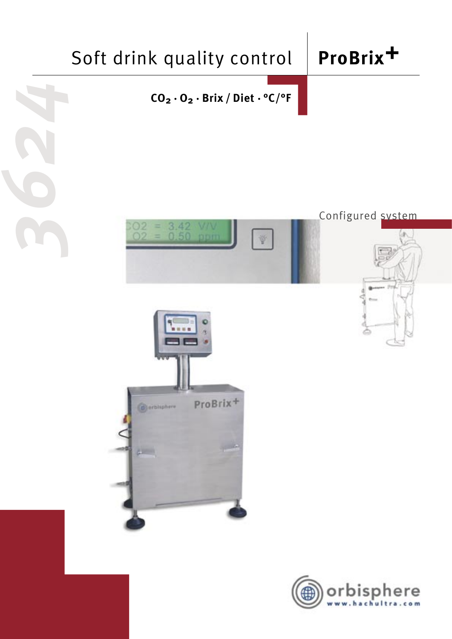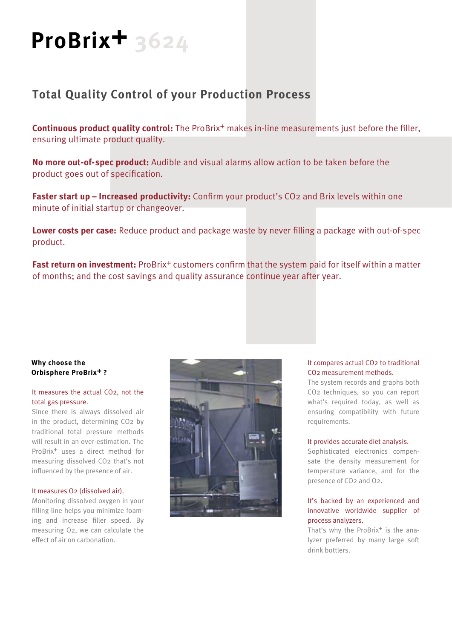# **ProBrix+ 3624**

### **Total Quality Control of your Production Process**

**Continuous product quality control:** The ProBrix<sup>+</sup> makes in-line measurements just before the filler, ensuring ultimate product quality.

**No more out-of-spec product:** Audible and visual alarms allow action to be taken before the product goes out of specification.

**Faster start up – Increased productivity:** Confirm your product's CO<sub>2</sub> and Brix levels within one minute of initial startup or changeover.

**Lower costs per case:** Reduce product and package waste by never filling a package with out-of-spec product.

**Fast return on investment:** ProBrix<sup>+</sup> customers confirm that the system paid for itself within a matter of months; and the cost savings and quality assurance continue year after year.

#### **Why choose the Orbisphere ProBrix+ ?**

#### It measures the actual CO2, not the total gas pressure.

Since there is always dissolved air in the product, determining CO2 by traditional total pressure methods will result in an over-estimation. The ProBrix+ uses a direct method for measuring dissolved CO2 that's not influenced by the presence of air.

#### It measures O2 (dissolved air).

Monitoring dissolved oxygen in your filling line helps you minimize foaming and increase filler speed. By measuring O2, we can calculate the effect of air on carbonation.



#### It compares actual CO2 to traditional CO2 measurement methods.

The system records and graphs both CO2 techniques, so you can report what's required today, as well as ensuring compatibility with future requirements.

#### It provides accurate diet analysis.

Sophisticated electronics compensate the density measurement for temperature variance, and for the presence of CO2 and O2.

#### It's backed by an experienced and innovative worldwide supplier of process analyzers.

That's why the ProBrix<sup>+</sup> is the analyzer preferred by many large soft drink bottlers.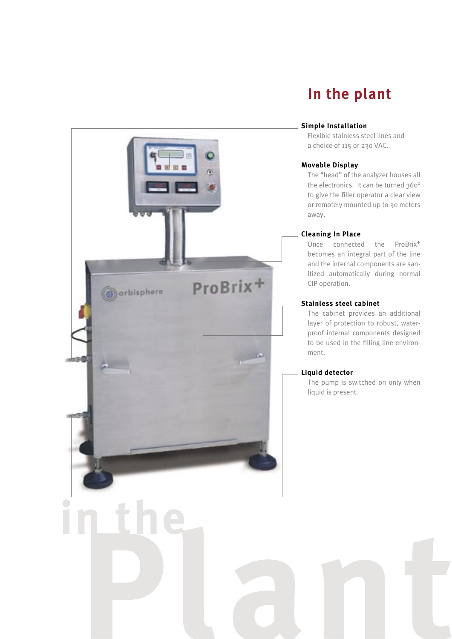## **In the plant**

#### **Simple Installation**

Flexible stainless steel lines and a choice of 115 or 230 VAC.

#### **Movable Display**

The "head" of the analyzer houses all the electronics. It can be turned 360° to give the filler operator a clear view or remotely mounted up to 30 meters away.

#### **Cleaning In Place**

Once connected the ProBrix<sup>+</sup> becomes an integral part of the line and the internal components are sanitized automatically during normal CIP operation.

#### **Stainless steel cabinet**

The cabinet provides an additional layer of protection to robust, waterproof internal components designed to be used in the filling line environment.

#### **Liquid detector**

The pump is switched on only when liquid is present.

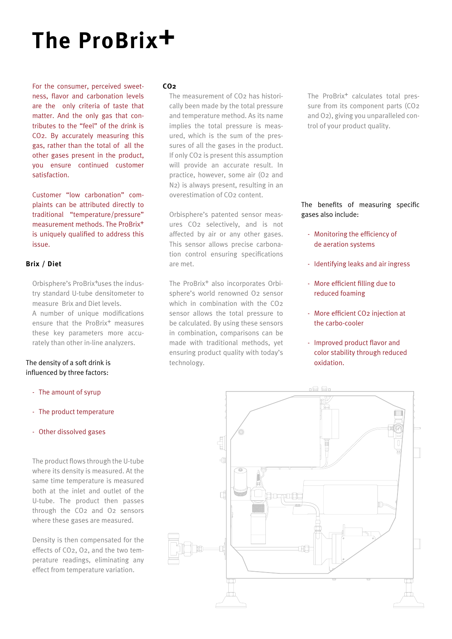## **The ProBrix+**

For the consumer, perceived sweetness, flavor and carbonation levels are the only criteria of taste that matter. And the only gas that contributes to the "feel" of the drink is CO2. By accurately measuring this gas, rather than the total of all the other gases present in the product, you ensure continued customer satisfaction.

Customer "low carbonation" complaints can be attributed directly to traditional "temperature/pressure" measurement methods. The ProBrix<sup>+</sup> is uniquely qualified to address this issue.

#### **Brix / Diet**

Orbisphere's ProBrix<sup>+</sup>uses the industry standard U-tube densitometer to measure Brix and Diet levels. A number of unique modifications ensure that the ProBrix<sup>+</sup> measures these key parameters more accurately than other in-line analyzers.

#### The density of a soft drink is influenced by three factors:

- The amount of syrup
- The product temperature
- Other dissolved gases

The product flows through the U-tube where its density is measured. At the same time temperature is measured both at the inlet and outlet of the U-tube. The product then passes through the CO2 and O2 sensors where these gases are measured.

Density is then compensated for the effects of CO2, O2, and the two temperature readings, eliminating any effect from temperature variation.

#### **CO2**

The measurement of CO2 has historically been made by the total pressure and temperature method. As its name implies the total pressure is measured, which is the sum of the pressures of all the gases in the product. If only CO2 is present this assumption will provide an accurate result. In practice, however, some air (O2 and N2) is always present, resulting in an overestimation of CO2 content.

Orbisphere's patented sensor measures CO2 selectively, and is not affected by air or any other gases. This sensor allows precise carbonation control ensuring specifications are met.

The ProBrix<sup>+</sup> also incorporates Orbisphere's world renowned O2 sensor which in combination with the CO2 sensor allows the total pressure to be calculated. By using these sensors in combination, comparisons can be made with traditional methods, yet ensuring product quality with today's technology.

The ProBrix<sup>+</sup> calculates total pressure from its component parts (CO2 and O2), giving you unparalleled control of your product quality.

The benefits of measuring specific gases also include:

- Monitoring the efficiency of de aeration systems
- Identifying leaks and air ingress
- More efficient filling due to reduced foaming
- More efficient CO2 injection at the carbo-cooler
- Improved product flavor and color stability through reduced oxidation.

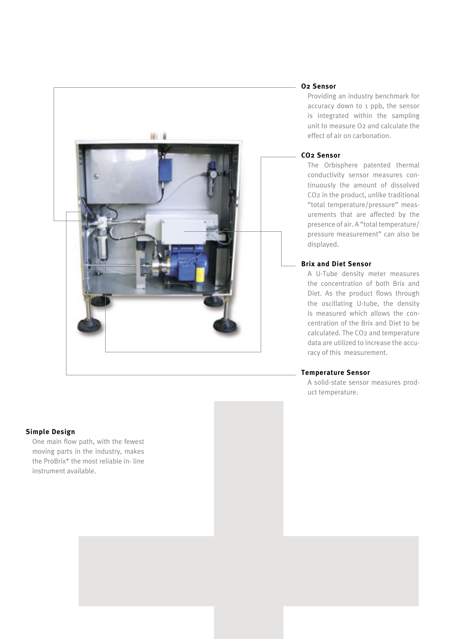

#### **Simple Design**

One main flow path, with the fewest moving parts in the industry, makes the ProBrix<sup>+</sup> the most reliable in-line instrument available.

#### **O2 Sensor**

Providing an industry benchmark for accuracy down to 1 ppb, the sensor is integrated within the sampling unit to measure O2 and calculate the effect of air on carbonation.

#### **CO2 Sensor**

The Orbisphere patented thermal conductivity sensor measures continuously the amount of dissolved CO2 in the product, unlike traditional "total temperature/pressure" measurements that are affected by the presence of air. A "total temperature/ pressure measurement" can also be displayed.

#### **Brix and Diet Sensor**

A U-Tube density meter measures the concentration of both Brix and Diet. As the product flows through the oscillating U-tube, the density is measured which allows the concentration of the Brix and Diet to be calculated. The CO2 and temperature data are utilized to increase the accuracy of this measurement.

#### **Temperature Sensor**

A solid-state sensor measures product temperature.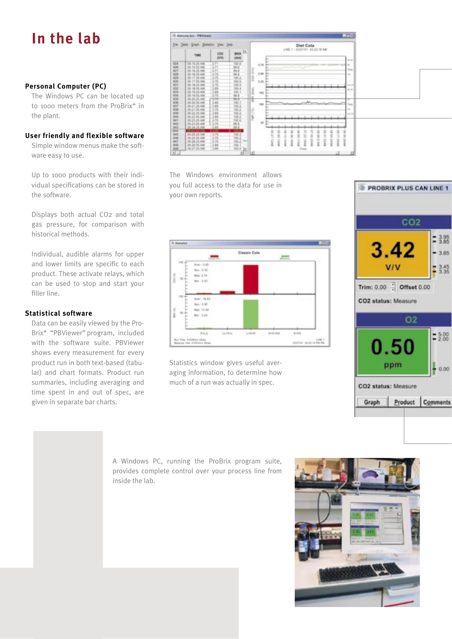## **In the lab**

#### **Personal Computer (PC)**

The Windows PC can be located up to 1000 meters from the ProBrix<sup>+</sup> in the plant.

#### **User friendly and flexible software**

Simple window menus make the software easy to use.

Up to 1000 products with their individual specifications can be stored in the software.

Displays both actual CO2 and total gas pressure, for comparison with historical methods.

Individual, audible alarms for upper and lower limits are specific to each product. These activate relays, which can be used to stop and start your filler line.

#### **Statistical software**

Data can be easily viewed by the Pro-Brix+ "PBViewer" program, included with the software suite. PBViewer shows every measurement for every product run in both text-based (tabular) and chart formats. Product run summaries, including averaging and time spent in and out of spec, are given in separate bar charts.

Diet Cola 工业工业 医抗原性病毒性血管血管综合征 医血管血管 i.

The Windows environment allows you full access to the data for use in your own reports.



Statistics window gives useful averaging information, to determine how much of a run was actually in spec.



A Windows PC, running the ProBrix program suite, provides complete control over your process line from inside the lab.

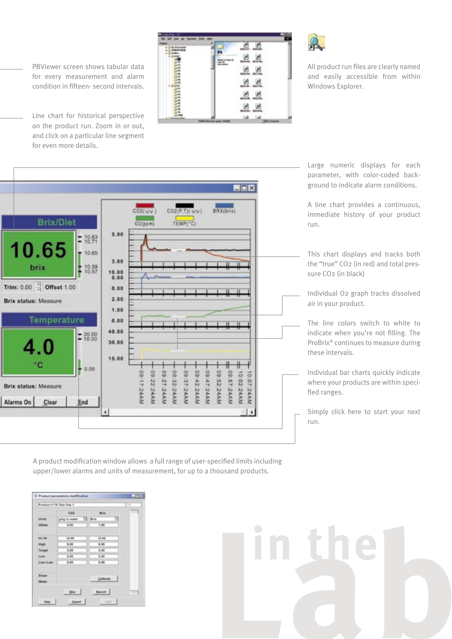PBViewer screen shows tabular data for every measurement and alarm condition in fifteen- second intervals.

Line chart for historical perspective on the product run. Zoom in or out, and click on a particular line segment for even more details.





in the

All product run files are clearly named and easily accessible from within Windows Explorer.



A product modification window allows a full range of user-specified limits including upper/lower alarms and units of measurement, for up to a thousand products.

|                                | Product n'16 Teat line 1 |                 |      |
|--------------------------------|--------------------------|-----------------|------|
|                                | cos                      | <b>Britt</b>    | $-1$ |
| <b>Units</b>                   | ging in water            | $+1$ Bris<br>÷т |      |
| <b>Cilliant</b>                | 3-24                     | 1.00            |      |
| 99.799                         | 10.06                    | 18.89           |      |
| High                           | 8.06                     | 8.00            |      |
| Timpet                         | 1.04                     | 8.00            |      |
| Low.                           | 1.84                     | 1.05            |      |
| Link (Low)                     | 5.38                     | 6.00            |      |
| <b>Binder</b><br><b>Higher</b> |                          | California      |      |
|                                | Skip :                   | Record          | $-1$ |